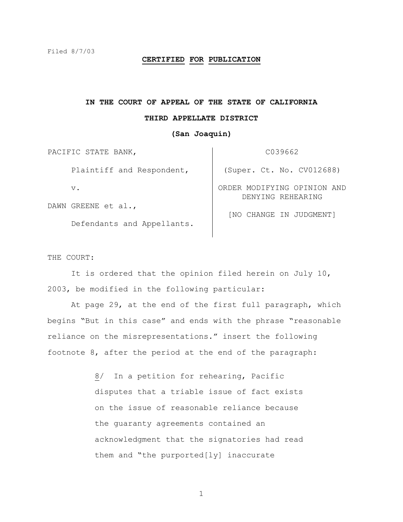#### **CERTIFIED FOR PUBLICATION**

# **IN THE COURT OF APPEAL OF THE STATE OF CALIFORNIA**

### **THIRD APPELLATE DISTRICT**

## **(San Joaquin)**

PACIFIC STATE BANK, Plaintiff and Respondent, v. DAWN GREENE et al., C039662 (Super. Ct. No. CV012688) ORDER MODIFYING OPINION AND DENYING REHEARING

Defendants and Appellants.

[NO CHANGE IN JUDGMENT]

#### THE COURT:

 It is ordered that the opinion filed herein on July 10, 2003, be modified in the following particular:

 At page 29, at the end of the first full paragraph, which begins "But in this case" and ends with the phrase "reasonable reliance on the misrepresentations." insert the following footnote 8, after the period at the end of the paragraph:

> 8/ In a petition for rehearing, Pacific disputes that a triable issue of fact exists on the issue of reasonable reliance because the guaranty agreements contained an acknowledgment that the signatories had read them and "the purported[ly] inaccurate

> > 1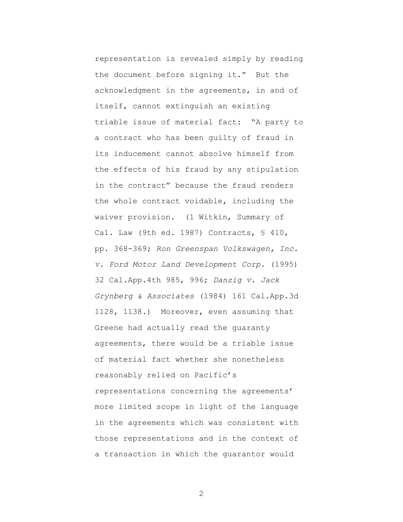representation is revealed simply by reading the document before signing it." But the acknowledgment in the agreements, in and of itself, cannot extinguish an existing triable issue of material fact: "A party to a contract who has been guilty of fraud in its inducement cannot absolve himself from the effects of his fraud by any stipulation in the contract" because the fraud renders the whole contract voidable, including the waiver provision. (1 Witkin, Summary of Cal. Law (9th ed. 1987) Contracts, § 410, pp. 368-369; *Ron Greenspan Volkswagen, Inc. v. Ford Motor Land Development Corp.* (1995) 32 Cal.App.4th 985, 996; *Danzig v. Jack Grynberg & Associates* (1984) 161 Cal.App.3d 1128, 1138.) Moreover, even assuming that Greene had actually read the guaranty agreements, there would be a triable issue of material fact whether she nonetheless reasonably relied on Pacific's representations concerning the agreements' more limited scope in light of the language in the agreements which was consistent with those representations and in the context of a transaction in which the guarantor would

2